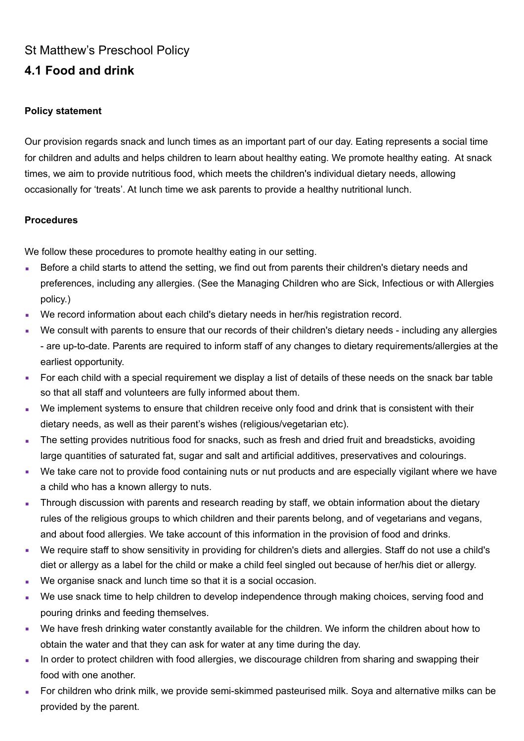## St Matthew's Preschool Policy **4.1 Food and drink**

## **Policy statement**

Our provision regards snack and lunch times as an important part of our day. Eating represents a social time for children and adults and helps children to learn about healthy eating. We promote healthy eating. At snack times, we aim to provide nutritious food, which meets the children's individual dietary needs, allowing occasionally for 'treats'. At lunch time we ask parents to provide a healthy nutritional lunch.

## **Procedures**

We follow these procedures to promote healthy eating in our setting.

- **EXEL Before a child starts to attend the setting, we find out from parents their children's dietary needs and** preferences, including any allergies. (See the Managing Children who are Sick, Infectious or with Allergies policy.)
- We record information about each child's dietary needs in her/his registration record.
- We consult with parents to ensure that our records of their children's dietary needs including any allergies - are up-to-date. Parents are required to inform staff of any changes to dietary requirements/allergies at the earliest opportunity.
- For each child with a special requirement we display a list of details of these needs on the snack bar table so that all staff and volunteers are fully informed about them.
- We implement systems to ensure that children receive only food and drink that is consistent with their dietary needs, as well as their parent's wishes (religious/vegetarian etc).
- The setting provides nutritious food for snacks, such as fresh and dried fruit and breadsticks, avoiding large quantities of saturated fat, sugar and salt and artificial additives, preservatives and colourings.
- We take care not to provide food containing nuts or nut products and are especially vigilant where we have a child who has a known allergy to nuts.
- Through discussion with parents and research reading by staff, we obtain information about the dietary rules of the religious groups to which children and their parents belong, and of vegetarians and vegans, and about food allergies. We take account of this information in the provision of food and drinks.
- We require staff to show sensitivity in providing for children's diets and allergies. Staff do not use a child's diet or allergy as a label for the child or make a child feel singled out because of her/his diet or allergy.
- We organise snack and lunch time so that it is a social occasion.
- We use snack time to help children to develop independence through making choices, serving food and pouring drinks and feeding themselves.
- We have fresh drinking water constantly available for the children. We inform the children about how to obtain the water and that they can ask for water at any time during the day.
- In order to protect children with food allergies, we discourage children from sharing and swapping their food with one another.
- For children who drink milk, we provide semi-skimmed pasteurised milk. Soya and alternative milks can be provided by the parent.